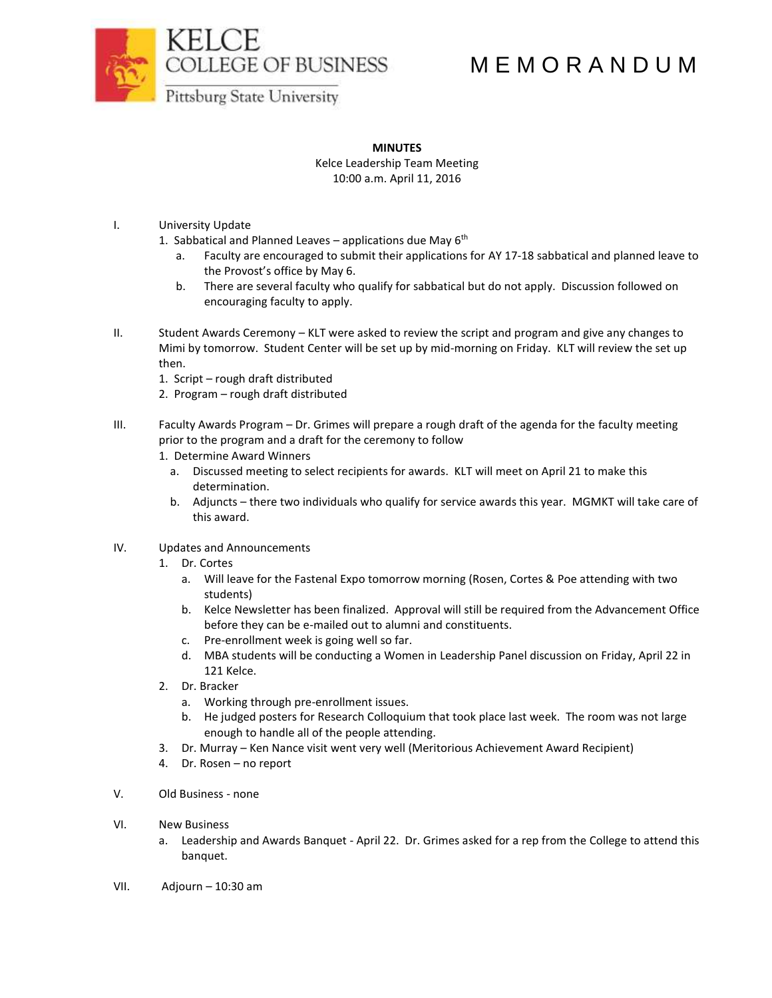



## M E M O R A N D U M

**Pittsburg State University** 

## **MINUTES**

Kelce Leadership Team Meeting 10:00 a.m. April 11, 2016

- I. University Update
	- 1. Sabbatical and Planned Leaves applications due May  $6<sup>th</sup>$ 
		- a. Faculty are encouraged to submit their applications for AY 17-18 sabbatical and planned leave to the Provost's office by May 6.
		- b. There are several faculty who qualify for sabbatical but do not apply. Discussion followed on encouraging faculty to apply.
- II. Student Awards Ceremony KLT were asked to review the script and program and give any changes to Mimi by tomorrow. Student Center will be set up by mid-morning on Friday. KLT will review the set up then.
	- 1. Script rough draft distributed
	- 2. Program rough draft distributed
- III. Faculty Awards Program Dr. Grimes will prepare a rough draft of the agenda for the faculty meeting prior to the program and a draft for the ceremony to follow
	- 1. Determine Award Winners
		- a. Discussed meeting to select recipients for awards. KLT will meet on April 21 to make this determination.
		- b. Adjuncts there two individuals who qualify for service awards this year. MGMKT will take care of this award.
- IV. Updates and Announcements
	- 1. Dr. Cortes
		- a. Will leave for the Fastenal Expo tomorrow morning (Rosen, Cortes & Poe attending with two students)
		- b. Kelce Newsletter has been finalized. Approval will still be required from the Advancement Office before they can be e-mailed out to alumni and constituents.
		- c. Pre-enrollment week is going well so far.
		- d. MBA students will be conducting a Women in Leadership Panel discussion on Friday, April 22 in 121 Kelce.
	- 2. Dr. Bracker
		- a. Working through pre-enrollment issues.
		- b. He judged posters for Research Colloquium that took place last week. The room was not large enough to handle all of the people attending.
	- 3. Dr. Murray Ken Nance visit went very well (Meritorious Achievement Award Recipient)
	- 4. Dr. Rosen no report
- V. Old Business none
- VI. New Business
	- a. Leadership and Awards Banquet April 22. Dr. Grimes asked for a rep from the College to attend this banquet.
- VII. Adjourn 10:30 am